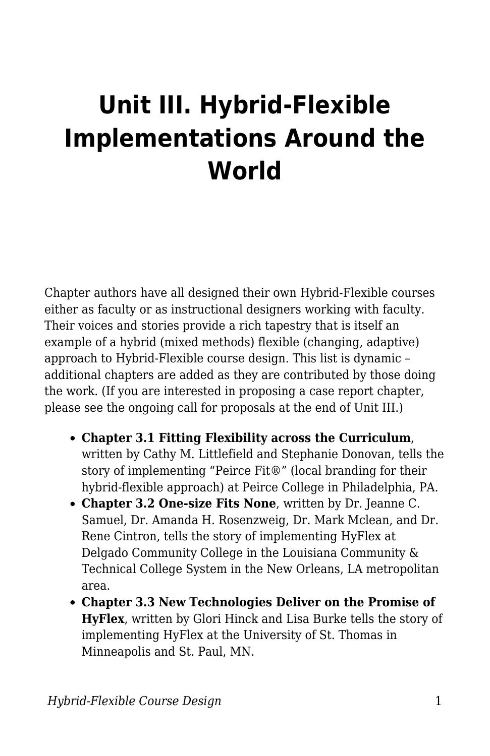## **Unit III. Hybrid-Flexible Implementations Around the World**

Chapter authors have all designed their own Hybrid-Flexible courses either as faculty or as instructional designers working with faculty. Their voices and stories provide a rich tapestry that is itself an example of a hybrid (mixed methods) flexible (changing, adaptive) approach to Hybrid-Flexible course design. This list is dynamic – additional chapters are added as they are contributed by those doing the work. (If you are interested in proposing a case report chapter, please see the ongoing call for proposals at the end of Unit III.)

- **Chapter 3.1 Fitting Flexibility across the Curriculum**, written by Cathy M. Littlefield and Stephanie Donovan, tells the story of implementing "Peirce Fit®" (local branding for their hybrid-flexible approach) at Peirce College in Philadelphia, PA.
- **Chapter 3.2 One-size Fits None**, written by Dr. Jeanne C. Samuel, Dr. Amanda H. Rosenzweig, Dr. Mark Mclean, and Dr. Rene Cintron, tells the story of implementing HyFlex at Delgado Community College in the Louisiana Community & Technical College System in the New Orleans, LA metropolitan area.
- **Chapter 3.3 New Technologies Deliver on the Promise of HyFlex**, written by Glori Hinck and Lisa Burke tells the story of implementing HyFlex at the University of St. Thomas in Minneapolis and St. Paul, MN.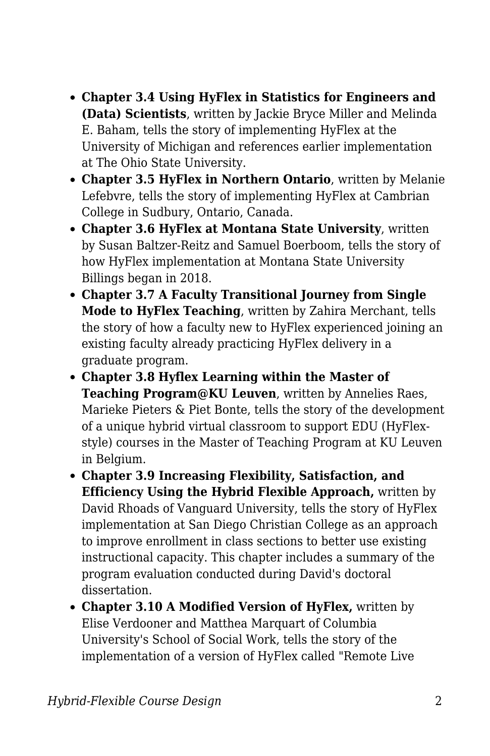- **Chapter 3.4 Using HyFlex in Statistics for Engineers and (Data) Scientists**, written by Jackie Bryce Miller and Melinda E. Baham, tells the story of implementing HyFlex at the University of Michigan and references earlier implementation at The Ohio State University.
- **Chapter 3.5 HyFlex in Northern Ontario**, written by Melanie Lefebvre, tells the story of implementing HyFlex at Cambrian College in Sudbury, Ontario, Canada.
- **Chapter 3.6 HyFlex at Montana State University**, written by Susan Baltzer-Reitz and Samuel Boerboom, tells the story of how HyFlex implementation at Montana State University Billings began in 2018.
- **Chapter 3.7 A Faculty Transitional Journey from Single Mode to HyFlex Teaching**, written by Zahira Merchant, tells the story of how a faculty new to HyFlex experienced joining an existing faculty already practicing HyFlex delivery in a graduate program.
- **Chapter 3.8 Hyflex Learning within the Master of Teaching Program@KU Leuven**, written by Annelies Raes, Marieke Pieters & Piet Bonte, tells the story of the development of a unique hybrid virtual classroom to support EDU (HyFlexstyle) courses in the Master of Teaching Program at KU Leuven in Belgium.
- **Chapter 3.9 Increasing Flexibility, Satisfaction, and Efficiency Using the Hybrid Flexible Approach,** written by David Rhoads of Vanguard University, tells the story of HyFlex implementation at San Diego Christian College as an approach to improve enrollment in class sections to better use existing instructional capacity. This chapter includes a summary of the program evaluation conducted during David's doctoral dissertation.
- **Chapter 3.10 A Modified Version of HyFlex,** written by Elise Verdooner and Matthea Marquart of Columbia University's School of Social Work, tells the story of the implementation of a version of HyFlex called "Remote Live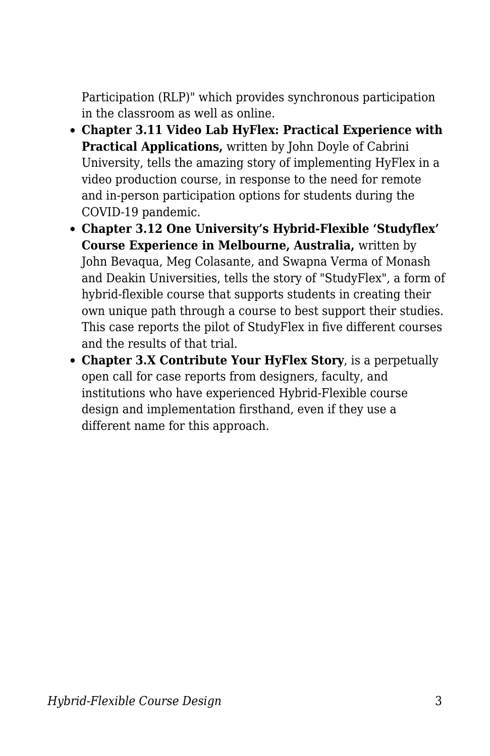Participation (RLP)" which provides synchronous participation in the classroom as well as online.

- **Chapter 3.11 Video Lab HyFlex: Practical Experience with Practical Applications,** written by John Doyle of Cabrini University, tells the amazing story of implementing HyFlex in a video production course, in response to the need for remote and in-person participation options for students during the COVID-19 pandemic.
- **Chapter 3.12 One University's Hybrid-Flexible 'Studyflex' Course Experience in Melbourne, Australia,** written by John Bevaqua, Meg Colasante, and Swapna Verma of Monash and Deakin Universities, tells the story of "StudyFlex", a form of hybrid-flexible course that supports students in creating their own unique path through a course to best support their studies. This case reports the pilot of StudyFlex in five different courses and the results of that trial.
- **Chapter 3.X Contribute Your HyFlex Story**, is a perpetually open call for case reports from designers, faculty, and institutions who have experienced Hybrid-Flexible course design and implementation firsthand, even if they use a different name for this approach.